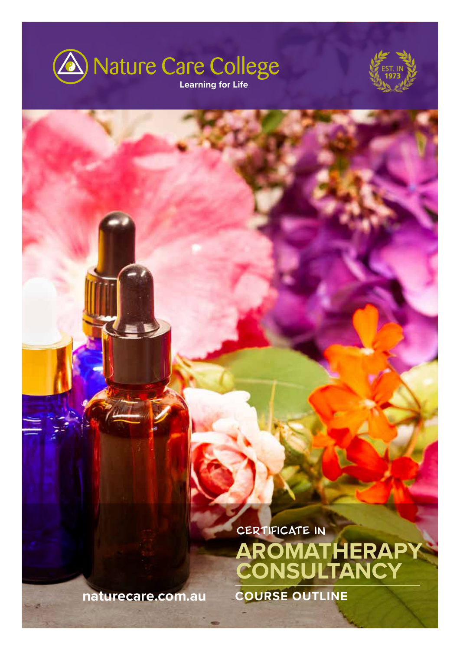



CERTIFICATE IN **AROMATHERAPY CONSULTANCY**

**naturecare.com.au COURSE OUTLINE**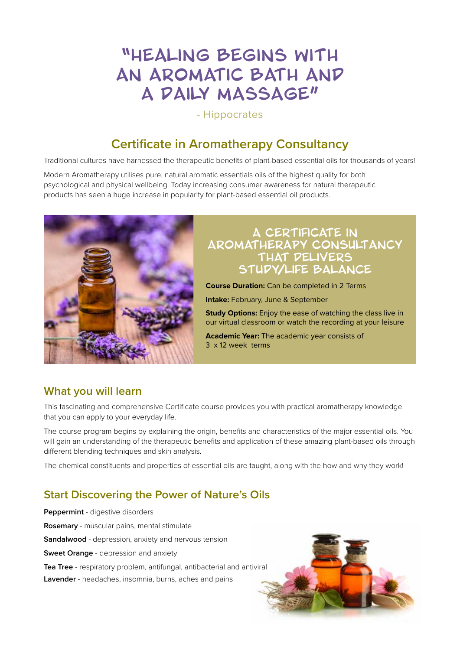# "Healing begins with an aromatic bath and A DAILY MASSAGE"

- Hippocrates

# **Certificate in Aromatherapy Consultancy**

Traditional cultures have harnessed the therapeutic benefits of plant-based essential oils for thousands of years!

Modern Aromatherapy utilises pure, natural aromatic essentials oils of the highest quality for both psychological and physical wellbeing. Today increasing consumer awareness for natural therapeutic products has seen a huge increase in popularity for plant-based essential oil products.



### A Certificate in Aromatherapy Consultancy that delivers study/life balance

**Course Duration:** Can be completed in 2 Terms

**Intake:** February, June & September

**Study Options:** Enjoy the ease of watching the class live in our virtual classroom or watch the recording at your leisure

**Academic Year:** The academic year consists of 3 x 12 week terms

### **What you will learn**

This fascinating and comprehensive Certificate course provides you with practical aromatherapy knowledge that you can apply to your everyday life.

The course program begins by explaining the origin, benefits and characteristics of the major essential oils. You will gain an understanding of the therapeutic benefits and application of these amazing plant-based oils through different blending techniques and skin analysis.

The chemical constituents and properties of essential oils are taught, along with the how and why they work!

### **Start Discovering the Power of Nature's Oils**

**Peppermint** - digestive disorders **Rosemary** - muscular pains, mental stimulate **Sandalwood** - depression, anxiety and nervous tension **Sweet Orange** - depression and anxiety **Tea Tree** - respiratory problem, antifungal, antibacterial and antiviral **Lavender** - headaches, insomnia, burns, aches and pains

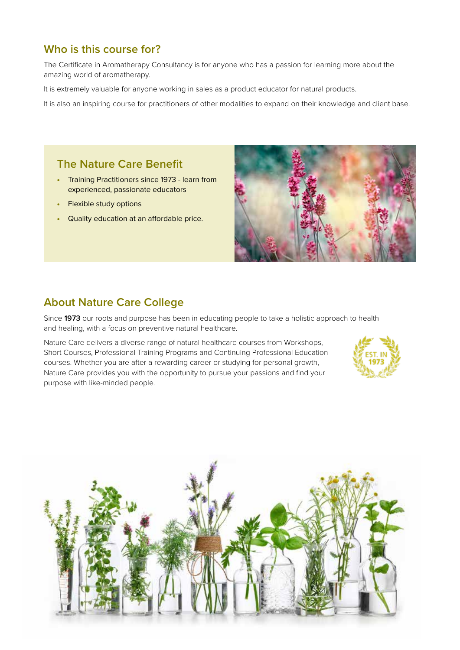### **Who is this course for?**

The Certificate in Aromatherapy Consultancy is for anyone who has a passion for learning more about the amazing world of aromatherapy.

It is extremely valuable for anyone working in sales as a product educator for natural products.

It is also an inspiring course for practitioners of other modalities to expand on their knowledge and client base.

### **The Nature Care Benefit**

- Training Practitioners since 1973 learn from experienced, passionate educators
- Flexible study options
- Quality education at an affordable price.



### **About Nature Care College**

Since **1973** our roots and purpose has been in educating people to take a holistic approach to health and healing, with a focus on preventive natural healthcare.

Nature Care delivers a diverse range of natural healthcare courses from Workshops, Short Courses, Professional Training Programs and Continuing Professional Education courses. Whether you are after a rewarding career or studying for personal growth, Nature Care provides you with the opportunity to pursue your passions and find your purpose with like-minded people.



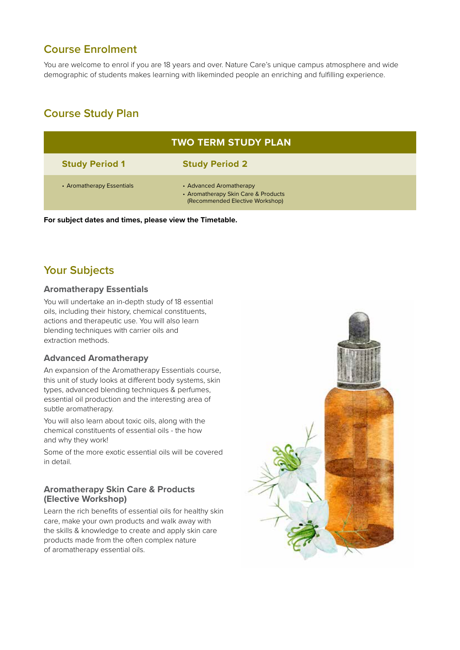### **Course Enrolment**

You are welcome to enrol if you are 18 years and over. Nature Care's unique campus atmosphere and wide demographic of students makes learning with likeminded people an enriching and fulfilling experience.

### **Course Study Plan**

| <b>TWO TERM STUDY PLAN</b> |                                                                                                   |  |
|----------------------------|---------------------------------------------------------------------------------------------------|--|
| <b>Study Period 1</b>      | <b>Study Period 2</b>                                                                             |  |
| • Aromatherapy Essentials  | • Advanced Aromatherapy<br>• Aromatherapy Skin Care & Products<br>(Recommended Elective Workshop) |  |

**For subject dates and times, please view the Timetable.**

### **Your Subjects**

### **Aromatherapy Essentials**

You will undertake an in-depth study of 18 essential oils, including their history, chemical constituents, actions and therapeutic use. You will also learn blending techniques with carrier oils and extraction methods.

### **Advanced Aromatherapy**

An expansion of the Aromatherapy Essentials course, this unit of study looks at different body systems, skin types, advanced blending techniques & perfumes, essential oil production and the interesting area of subtle aromatherapy.

You will also learn about toxic oils, along with the chemical constituents of essential oils - the how and why they work!

Some of the more exotic essential oils will be covered in detail.

### **Aromatherapy Skin Care & Products (Elective Workshop)**

Learn the rich benefits of essential oils for healthy skin care, make your own products and walk away with the skills & knowledge to create and apply skin care products made from the often complex nature of aromatherapy essential oils.

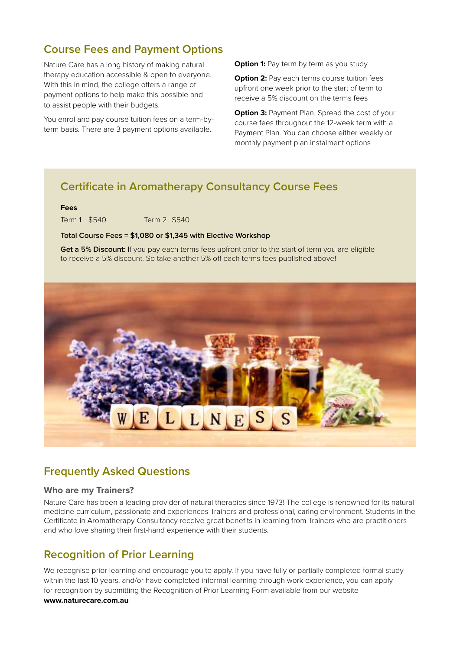### **Course Fees and Payment Options**

Nature Care has a long history of making natural therapy education accessible & open to everyone. With this in mind, the college offers a range of payment options to help make this possible and to assist people with their budgets.

You enrol and pay course tuition fees on a term-byterm basis. There are 3 payment options available.

**Option 1:** Pay term by term as you study

**Option 2:** Pay each terms course tuition fees upfront one week prior to the start of term to receive a 5% discount on the terms fees

**Option 3: Payment Plan. Spread the cost of your** course fees throughout the 12-week term with a Payment Plan. You can choose either weekly or monthly payment plan instalment options

### **Certificate in Aromatherapy Consultancy Course Fees**

#### **Fees**

Term 1 \$540 Term 2 \$540

#### **Total Course Fees = \$1,080 or \$1,345 with Elective Workshop**

**Get a 5% Discount:** If you pay each terms fees upfront prior to the start of term you are eligible to receive a 5% discount. So take another 5% off each terms fees published above!



### **Frequently Asked Questions**

#### **Who are my Trainers?**

Nature Care has been a leading provider of natural therapies since 1973! The college is renowned for its natural medicine curriculum, passionate and experiences Trainers and professional, caring environment. Students in the Certificate in Aromatherapy Consultancy receive great benefits in learning from Trainers who are practitioners and who love sharing their first-hand experience with their students.

### **Recognition of Prior Learning**

We recognise prior learning and encourage you to apply. If you have fully or partially completed formal study within the last 10 years, and/or have completed informal learning through work experience, you can apply for recognition by submitting the Recognition of Prior Learning Form available from our website **www.naturecare.com.au**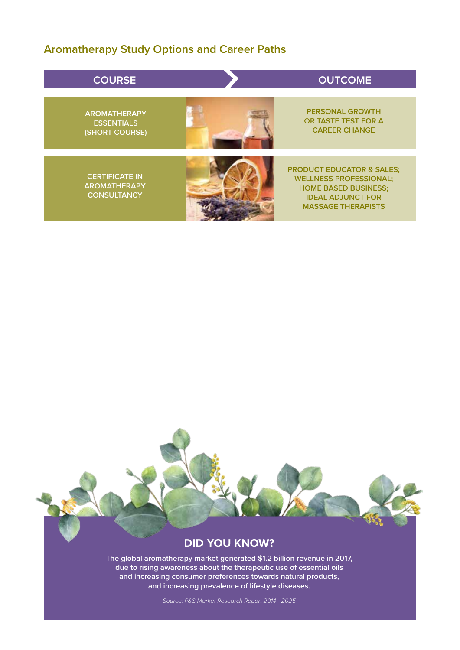## **Aromatherapy Study Options and Career Paths**

| <b>COURSE</b>                                                      | <b>OUTCOME</b>                                                                                                                                                |
|--------------------------------------------------------------------|---------------------------------------------------------------------------------------------------------------------------------------------------------------|
| <b>AROMATHERAPY</b><br><b>ESSENTIALS</b><br>(SHORT COURSE)         | <b>PERSONAL GROWTH</b><br>OR TASTE TEST FOR A<br><b>CAREER CHANGE</b>                                                                                         |
| <b>CERTIFICATE IN</b><br><b>AROMATHERAPY</b><br><b>CONSULTANCY</b> | <b>PRODUCT EDUCATOR &amp; SALES;</b><br><b>WELLNESS PROFESSIONAL;</b><br><b>HOME BASED BUSINESS;</b><br><b>IDEAL ADJUNCT FOR</b><br><b>MASSAGE THERAPISTS</b> |

### **DID YOU KNOW?**

**The global aromatherapy market generated \$1.2 billion revenue in 2017, due to rising awareness about the therapeutic use of essential oils and increasing consumer preferences towards natural products, and increasing prevalence of lifestyle diseases.**

*Source: P&S Market Research Report 2014 - 2025*